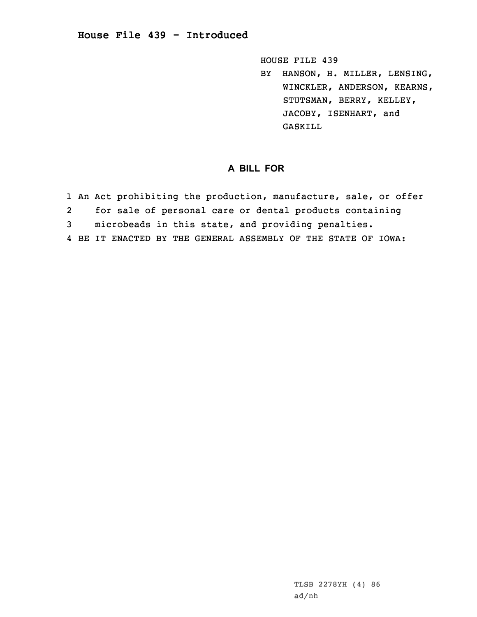## **House File 439 - Introduced**

HOUSE FILE 439

BY HANSON, H. MILLER, LENSING, WINCKLER, ANDERSON, KEARNS, STUTSMAN, BERRY, KELLEY, JACOBY, ISENHART, and GASKILL

## **A BILL FOR**

- 1 An Act prohibiting the production, manufacture, sale, or offer
- 2for sale of personal care or dental products containing
- 3 microbeads in this state, and providing penalties.
- 4 BE IT ENACTED BY THE GENERAL ASSEMBLY OF THE STATE OF IOWA: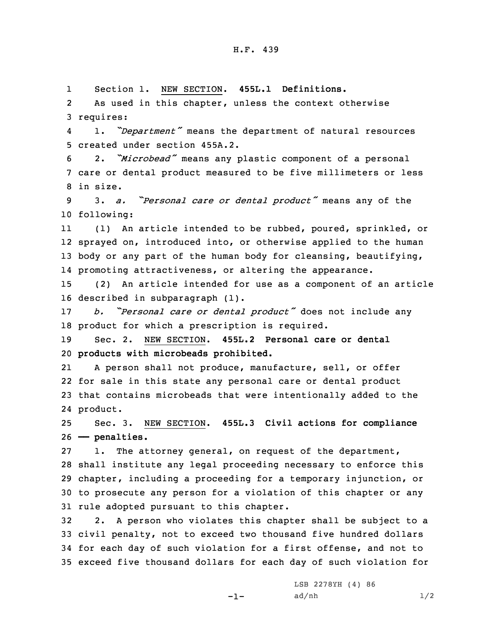## H.F. 439

1Section 1. NEW SECTION. **455L.1 Definitions.**

2 As used in this chapter, unless the context otherwise 3 requires:

4 1. *"Department"* means the department of natural resources 5 created under section 455A.2.

<sup>6</sup> 2. *"Microbead"* means any plastic component of <sup>a</sup> personal 7 care or dental product measured to be five millimeters or less 8 in size.

<sup>9</sup> 3. *a. "Personal care or dental product"* means any of the 10 following:

11 (1) An article intended to be rubbed, poured, sprinkled, or 12 sprayed on, introduced into, or otherwise applied to the human 13 body or any part of the human body for cleansing, beautifying, 14 promoting attractiveness, or altering the appearance.

15 (2) An article intended for use as <sup>a</sup> component of an article 16 described in subparagraph (1).

<sup>17</sup> *b. "Personal care or dental product"* does not include any 18 product for which <sup>a</sup> prescription is required.

19 Sec. 2. NEW SECTION. **455L.2 Personal care or dental** 20 **products with microbeads prohibited.**

21 <sup>A</sup> person shall not produce, manufacture, sell, or offer 22 for sale in this state any personal care or dental product 23 that contains microbeads that were intentionally added to the 24 product.

25 Sec. 3. NEW SECTION. **455L.3 Civil actions for compliance** 26 **—— penalties.**

 1. The attorney general, on request of the department, shall institute any legal proceeding necessary to enforce this chapter, including <sup>a</sup> proceeding for <sup>a</sup> temporary injunction, or to prosecute any person for <sup>a</sup> violation of this chapter or any rule adopted pursuant to this chapter.

 2. <sup>A</sup> person who violates this chapter shall be subject to <sup>a</sup> civil penalty, not to exceed two thousand five hundred dollars for each day of such violation for <sup>a</sup> first offense, and not to exceed five thousand dollars for each day of such violation for

-1-

LSB 2278YH (4) 86  $ad/nh$   $1/2$